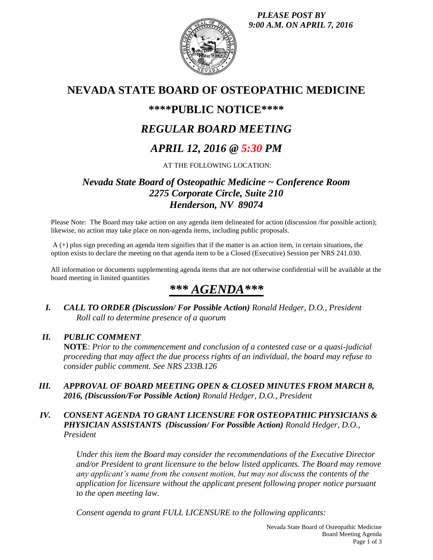*PLEASE POST BY 9:00 A.M. ON APRIL 7, 2016*



# **NEVADA STATE BOARD OF OSTEOPATHIC MEDICINE**

## **\*\*\*\*PUBLIC NOTICE\*\*\*\***

# *REGULAR BOARD MEETING*

## *APRIL 12, 2016 @ 5:30 PM*

AT THE FOLLOWING LOCATION:

## *Nevada State Board of Osteopathic Medicine ~ Conference Room 2275 Corporate Circle, Suite 210 Henderson, NV 89074*

Please Note: The Board may take action on any agenda item delineated for action (discussion /for possible action); likewise, no action may take place on non-agenda items, including public proposals.

A (+) plus sign preceding an agenda item signifies that if the matter is an action item, in certain situations, the option exists to declare the meeting on that agenda item to be a Closed (Executive) Session per NRS 241.030.

All information or documents supplementing agenda items that are not otherwise confidential will be available at the board meeting in limited quantities

# *\*\*\* AGENDA\*\*\**

*I. CALL TO ORDER (Discussion/ For Possible Action) Ronald Hedger, D.O., President Roll call to determine presence of a quorum*

## *II. PUBLIC COMMENT*

**NOTE**: *Prior to the commencement and conclusion of a contested case or a quasi-judicial proceeding that may affect the due process rights of an individual, the board may refuse to consider public comment. See NRS 233B.126*

*III. APPROVAL OF BOARD MEETING OPEN & CLOSED MINUTES FROM MARCH 8, 2016, (Discussion/For Possible Action) Ronald Hedger, D.O., President*

## *IV. CONSENT AGENDA TO GRANT LICENSURE FOR OSTEOPATHIC PHYSICIANS & PHYSICIAN ASSISTANTS (Discussion/ For Possible Action) Ronald Hedger, D.O., President*

*Under this item the Board may consider the recommendations of the Executive Director and/or President to grant licensure to the below listed applicants. The Board may remove any applicant's name from the consent motion, but may not discuss the contents of the application for licensure without the applicant present following proper notice pursuant to the open meeting law.* 

*Consent agenda to grant FULL LICENSURE to the following applicants:*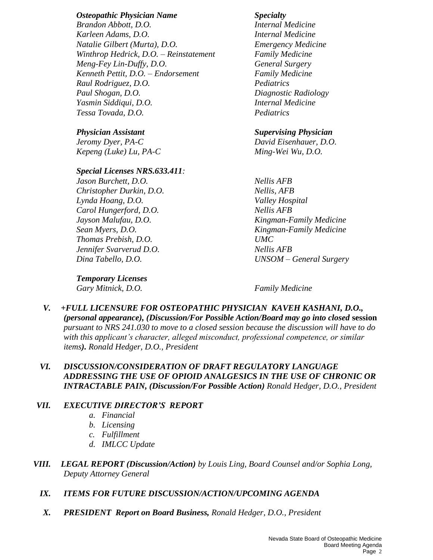### *Osteopathic Physician Name Specialty*

*Brandon Abbott, D.O. Internal Medicine Karleen Adams, D.O. Internal Medicine Natalie Gilbert (Murta), D.O. Emergency Medicine Winthrop Hedrick, D.O. – Reinstatement Family Medicine Meng-Fey Lin-Duffy, D.O. General Surgery Kenneth Pettit, D.O. – Endorsement Family Medicine Raul Rodriguez, D.O. Pediatrics Paul Shogan, D.O. Diagnostic Radiology Yasmin Siddiqui, D.O. Internal Medicine Tessa Tovada, D.O. Pediatrics*

*Kepeng (Luke) Lu, PA-C Ming-Wei Wu, D.O.*

### *Special Licenses NRS.633.411:*

*Jason Burchett, D.O. Nellis AFB Christopher Durkin, D.O. Nellis, AFB Lynda Hoang, D.O. Valley Hospital Carol Hungerford, D.O. Nellis AFB Thomas Prebish, D.O. UMC Jennifer Svarverud D.O. Nellis AFB*

### *Physician Assistant Supervising Physician*

*Jeromy Dyer, PA-C David Eisenhauer, D.O.*

*Jayson Malufau, D.O. Kingman-Family Medicine Sean Myers, D.O. Kingman-Family Medicine Dina Tabello, D.O. UNSOM – General Surgery*

*Temporary Licenses*

*Gary Mitnick, D.O. Family Medicine*

*V. +FULL LICENSURE FOR OSTEOPATHIC PHYSICIAN KAVEH KASHANI, D.O., (personal appearance), (Discussion/For Possible Action/Board may go into closed* **session** *pursuant to NRS 241.030 to move to a closed session because the discussion will have to do with this applicant's character, alleged misconduct, professional competence, or similar items). Ronald Hedger, D.O., President*

## *VI. DISCUSSION/CONSIDERATION OF DRAFT REGULATORY LANGUAGE ADDRESSING THE USE OF OPIOID ANALGESICS IN THE USE OF CHRONIC OR INTRACTABLE PAIN, (Discussion/For Possible Action) Ronald Hedger, D.O., President*

### *VII. EXECUTIVE DIRECTOR'S REPORT*

- *a. Financial*
- *b. Licensing*
- *c. Fulfillment*
- *d. IMLCC Update*
- *VIII. LEGAL REPORT (Discussion/Action) by Louis Ling, Board Counsel and/or Sophia Long, Deputy Attorney General* 
	- *IX. ITEMS FOR FUTURE DISCUSSION/ACTION/UPCOMING AGENDA*
	- *X. PRESIDENT Report on Board Business, Ronald Hedger, D.O., President*